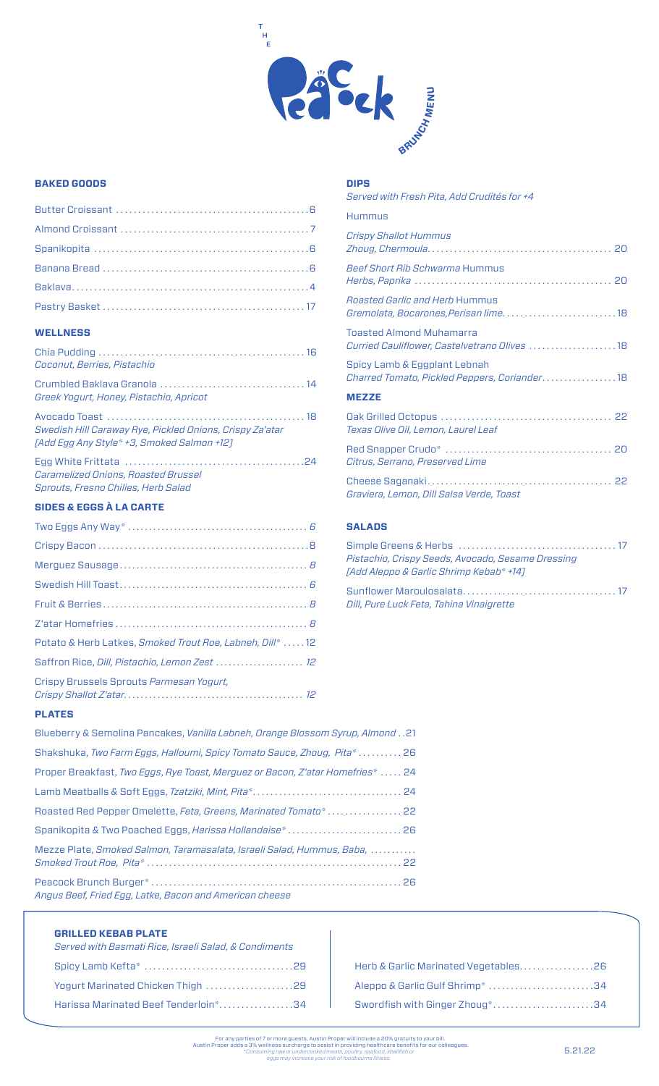

**DIPS**

## **BAKED GOODS**

## **WELLNESS**

| Coconut, Berries, Pistachio                                                                            |
|--------------------------------------------------------------------------------------------------------|
| Greek Yogurt, Honey, Pistachio, Apricot                                                                |
| Swedish Hill Caraway Rye, Pickled Onions, Crispy Za'atar<br>[Add Egg Any Style* +3, Smoked Salmon +12] |
| Caramelized Onions, Roasted Brussel<br>Sprouts, Fresno Chilies, Herb Salad                             |
| <b>SIDES &amp; EGGS À LA CARTE</b>                                                                     |
|                                                                                                        |
|                                                                                                        |
|                                                                                                        |
|                                                                                                        |

| Potato & Herb Latkes, Smoked Trout Roe, Labneh, Dill*  12 |  |
|-----------------------------------------------------------|--|
| Saffron Rice, Dill, Pistachio, Lemon Zest  12             |  |
| Crispy Brussels Sprouts Parmesan Yogurt,                  |  |

# **PLATES**

| 12. Blueberry & Semolina Pancakes, Vanilla Labneh, Orange Blossom Syrup, Almond. . 21 |
|---------------------------------------------------------------------------------------|
| Shakshuka, Two Farm Eggs, Halloumi, Spicy Tomato Sauce, Zhoug, Pita*26                |
| Proper Breakfast, Two Eggs, Rye Toast, Merguez or Bacon, Z'atar Homefries*  24        |
|                                                                                       |
| Roasted Red Pepper Omelette, Feta, Greens, Marinated Tomato* 22                       |
|                                                                                       |
| Mezze Plate, Smoked Salmon, Taramasalata, Israeli Salad, Hummus, Baba,                |
| Angus Beef, Fried Egg, Latke, Bacon and American cheese                               |

## **GRILLED KEBAB PLATE**

| Served with Basmati Rice, Israeli Salad, & Condiments |
|-------------------------------------------------------|
|                                                       |
| Yogurt Marinated Chicken Thigh 29                     |
| Harissa Marinated Beef Tenderloin*34                  |

| Herb & Garlic Marinated Vegetables26 |  |
|--------------------------------------|--|
| Aleppo & Garlic Gulf Shrimp* 34      |  |
| Swordfish with Ginger Zhoug*34       |  |

| Served with Fresh Pita, Add Crudités for +4                                          |
|--------------------------------------------------------------------------------------|
| Hummus                                                                               |
| <b>Crispy Shallot Hummus</b>                                                         |
| <b>Beef Short Rib Schwarma Hummus</b>                                                |
| <i><b>Roasted Garlic and Herb Hummus</b></i><br>Gremolata, Bocarones, Perisan lime18 |
| <b>Toasted Almond Muhamarra</b><br>Curried Cauliflower, Castelvetrano Olives  18     |
| Spicy Lamb & Eggplant Lebnah<br>Charred Tomato, Pickled Peppers, Coriander 18        |
| <b>MEZZE</b>                                                                         |
| Texas Olive Oil, Lemon, Laurel Leaf                                                  |
| Citrus, Serrano, Preserved Lime                                                      |
| Graviera, Lemon, Dill Salsa Verde, Toast                                             |
|                                                                                      |

# **SALADS**

| Pistachio, Crispy Seeds, Avocado, Sesame Dressing |  |
|---------------------------------------------------|--|
| TAdd Aleppo & Garlic Shrimp Kebab* +141           |  |
|                                                   |  |

| Dill, Pure Luck Feta, Tahina Vinaigrette |  |
|------------------------------------------|--|